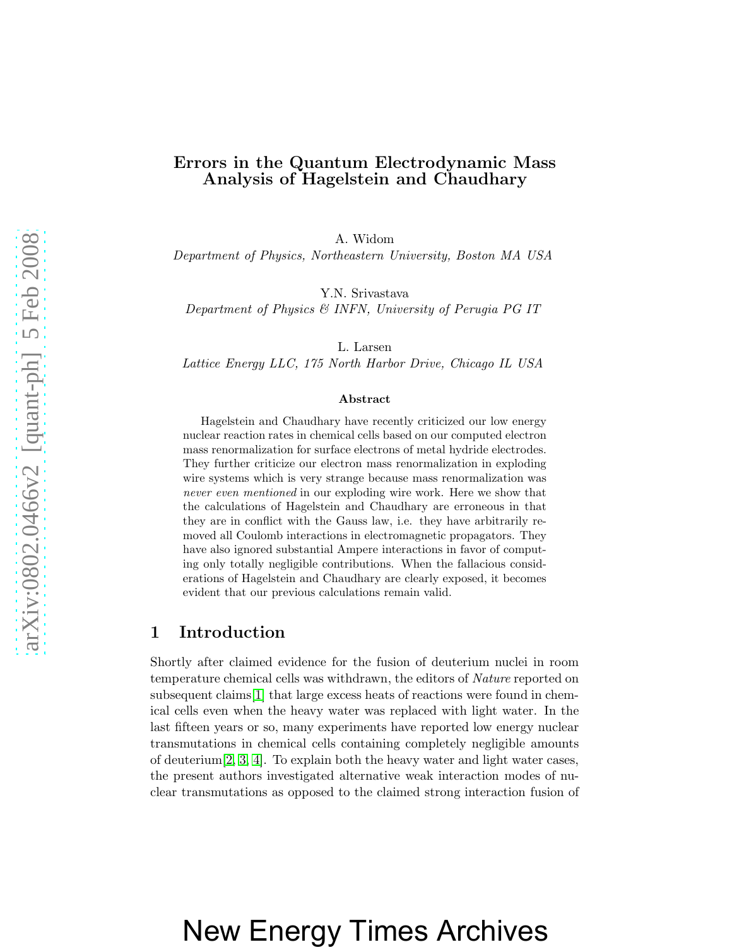### Errors in the Quantum Electrodynamic Mass Analysis of Hagelstein and Chaudhary

A. Widom

Department of Physics, Northeastern University, Boston MA USA

Y.N. Srivastava

Department of Physics & INFN, University of Perugia PG IT

L. Larsen

Lattice Energy LLC, 175 North Harbor Drive, Chicago IL USA

#### Abstract

Hagelstein and Chaudhary have recently criticized our low energy nuclear reaction rates in chemical cells based on our computed electron mass renormalization for surface electrons of metal hydride electrodes. They further criticize our electron mass renormalization in exploding wire systems which is very strange because mass renormalization was never even mentioned in our exploding wire work. Here we show that the calculations of Hagelstein and Chaudhary are erroneous in that they are in conflict with the Gauss law, i.e. they have arbitrarily removed all Coulomb interactions in electromagnetic propagators. They have also ignored substantial Ampere interactions in favor of computing only totally negligible contributions. When the fallacious considerations of Hagelstein and Chaudhary are clearly exposed, it becomes evident that our previous calculations remain valid.

#### 1 Introduction

Shortly after claimed evidence for the fusion of deuterium nuclei in room temperature chemical cells was withdrawn, the editors of *Nature* reported on subsequent claims[\[1\]](#page-5-0) that large excess heats of reactions were found in chemical cells even when the heavy water was replaced with light water. In the last fifteen years or so, many experiments have reported low energy nuclear transmutations in chemical cells containing completely negligible amounts of deuterium[\[2,](#page-5-1) [3,](#page-5-2) [4\]](#page-5-3). To explain both the heavy water and light water cases, the present authors investigated alternative weak interaction modes of nuclear transmutations as opposed to the claimed strong interaction fusion of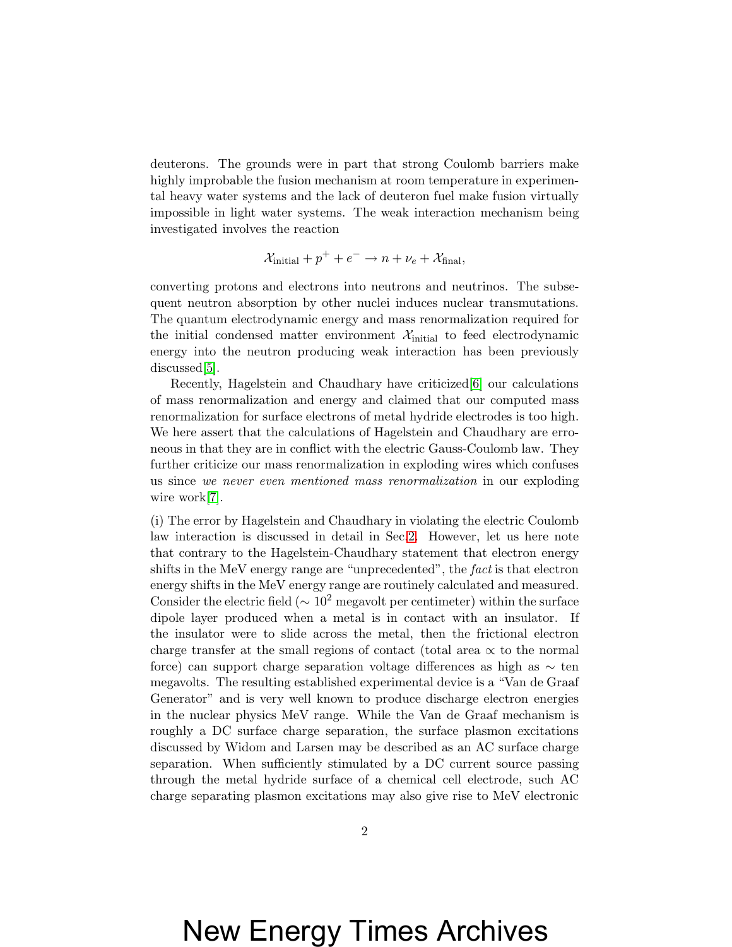deuterons. The grounds were in part that strong Coulomb barriers make highly improbable the fusion mechanism at room temperature in experimental heavy water systems and the lack of deuteron fuel make fusion virtually impossible in light water systems. The weak interaction mechanism being investigated involves the reaction

$$
\mathcal{X}_{initial} + p^+ + e^- \rightarrow n + \nu_e + \mathcal{X}_{final},
$$

converting protons and electrons into neutrons and neutrinos. The subsequent neutron absorption by other nuclei induces nuclear transmutations. The quantum electrodynamic energy and mass renormalization required for the initial condensed matter environment  $\mathcal{X}_{initial}$  to feed electrodynamic energy into the neutron producing weak interaction has been previously discussed[\[5\]](#page-5-4).

Recently, Hagelstein and Chaudhary have criticized[\[6\]](#page-5-5) our calculations of mass renormalization and energy and claimed that our computed mass renormalization for surface electrons of metal hydride electrodes is too high. We here assert that the calculations of Hagelstein and Chaudhary are erroneous in that they are in conflict with the electric Gauss-Coulomb law. They further criticize our mass renormalization in exploding wires which confuses us since we never even mentioned mass renormalization in our exploding wire work[\[7\]](#page-5-6).

(i) The error by Hagelstein and Chaudhary in violating the electric Coulomb law interaction is discussed in detail in Sec[.2.](#page-2-0) However, let us here note that contrary to the Hagelstein-Chaudhary statement that electron energy shifts in the MeV energy range are "unprecedented", the fact is that electron energy shifts in the MeV energy range are routinely calculated and measured. Consider the electric field ( $\sim 10^2$  megavolt per centimeter) within the surface dipole layer produced when a metal is in contact with an insulator. If the insulator were to slide across the metal, then the frictional electron charge transfer at the small regions of contact (total area  $\alpha$  to the normal force) can support charge separation voltage differences as high as ∼ ten megavolts. The resulting established experimental device is a "Van de Graaf Generator" and is very well known to produce discharge electron energies in the nuclear physics MeV range. While the Van de Graaf mechanism is roughly a DC surface charge separation, the surface plasmon excitations discussed by Widom and Larsen may be described as an AC surface charge separation. When sufficiently stimulated by a DC current source passing through the metal hydride surface of a chemical cell electrode, such AC charge separating plasmon excitations may also give rise to MeV electronic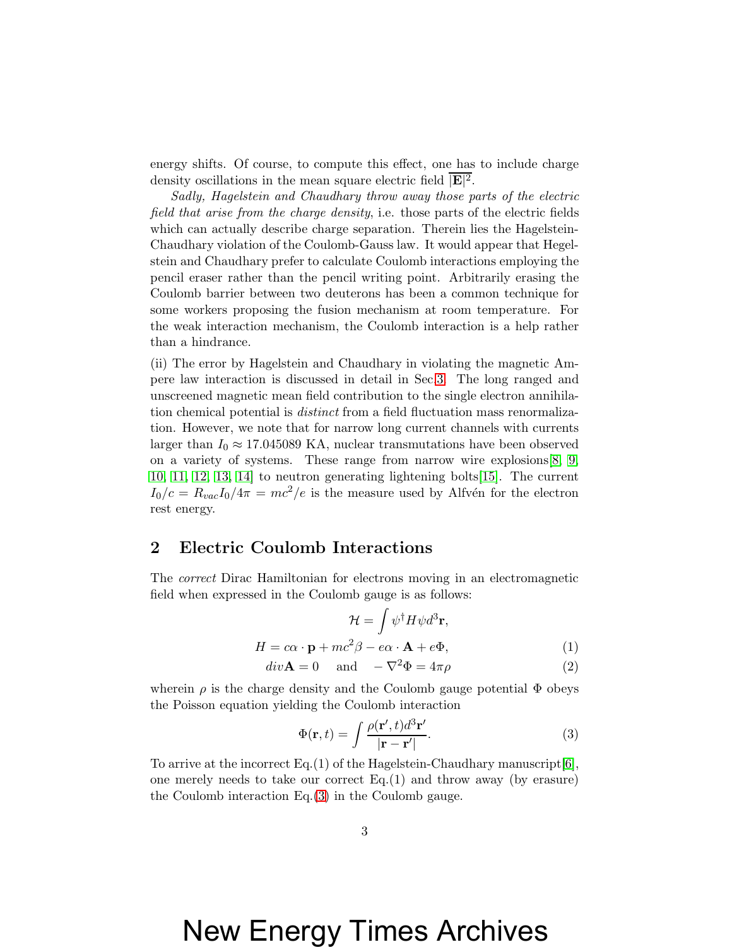energy shifts. Of course, to compute this effect, one has to include charge density oscillations in the mean square electric field  $\overline{\mathbb{E}^2}$ .

Sadly, Hagelstein and Chaudhary throw away those parts of the electric field that arise from the charge density, i.e. those parts of the electric fields which can actually describe charge separation. Therein lies the Hagelstein-Chaudhary violation of the Coulomb-Gauss law. It would appear that Hegelstein and Chaudhary prefer to calculate Coulomb interactions employing the pencil eraser rather than the pencil writing point. Arbitrarily erasing the Coulomb barrier between two deuterons has been a common technique for some workers proposing the fusion mechanism at room temperature. For the weak interaction mechanism, the Coulomb interaction is a help rather than a hindrance.

(ii) The error by Hagelstein and Chaudhary in violating the magnetic Ampere law interaction is discussed in detail in Sec[.3.](#page-3-0) The long ranged and unscreened magnetic mean field contribution to the single electron annihilation chemical potential is *distinct* from a field fluctuation mass renormalization. However, we note that for narrow long current channels with currents larger than  $I_0 \approx 17.045089 \text{ KA}$ , nuclear transmutations have been observed on a variety of systems. These range from narrow wire explosions[\[8,](#page-5-7) [9,](#page-5-8) [10,](#page-5-9) [11,](#page-6-0) [12,](#page-6-1) [13,](#page-6-2) [14\]](#page-6-3) to neutron generating lightening bolts[\[15\]](#page-6-4). The current  $I_0/c = R_{vac}I_0/4\pi = mc^2/e$  is the measure used by Alfvén for the electron rest energy.

#### <span id="page-2-0"></span>2 Electric Coulomb Interactions

The correct Dirac Hamiltonian for electrons moving in an electromagnetic field when expressed in the Coulomb gauge is as follows:

$$
\mathcal{H} = \int \psi^{\dagger} H \psi d^{3} \mathbf{r},
$$

$$
H = c\alpha \cdot \mathbf{p} + mc^{2} \beta - e\alpha \cdot \mathbf{A} + e\Phi,
$$
(1)

$$
div\mathbf{A} = 0 \quad \text{and} \quad -\nabla^2 \Phi = 4\pi\rho \tag{2}
$$

wherein  $\rho$  is the charge density and the Coulomb gauge potential  $\Phi$  obeys the Poisson equation yielding the Coulomb interaction

<span id="page-2-1"></span>
$$
\Phi(\mathbf{r},t) = \int \frac{\rho(\mathbf{r}',t)d^3\mathbf{r}'}{|\mathbf{r}-\mathbf{r}'|}.
$$
\n(3)

To arrive at the incorrect Eq.(1) of the Hagelstein-Chaudhary manuscript[\[6\]](#page-5-5), one merely needs to take our correct  $Eq.(1)$  and throw away (by erasure) the Coulomb interaction Eq.[\(3\)](#page-2-1) in the Coulomb gauge.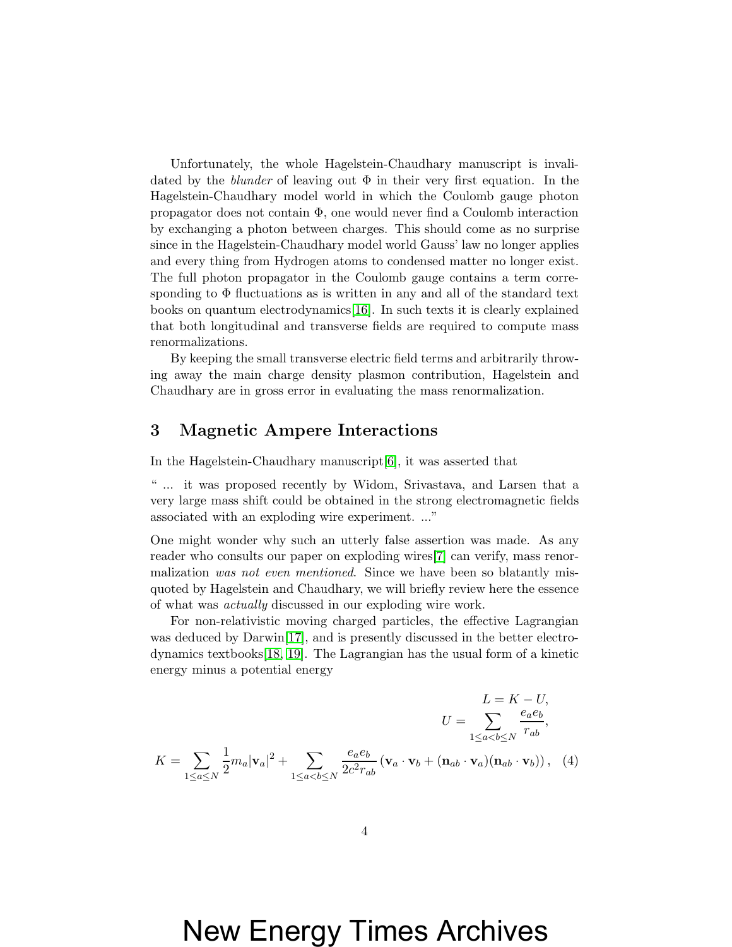Unfortunately, the whole Hagelstein-Chaudhary manuscript is invalidated by the *blunder* of leaving out  $\Phi$  in their very first equation. In the Hagelstein-Chaudhary model world in which the Coulomb gauge photon propagator does not contain  $\Phi$ , one would never find a Coulomb interaction by exchanging a photon between charges. This should come as no surprise since in the Hagelstein-Chaudhary model world Gauss' law no longer applies and every thing from Hydrogen atoms to condensed matter no longer exist. The full photon propagator in the Coulomb gauge contains a term corresponding to  $\Phi$  fluctuations as is written in any and all of the standard text books on quantum electrodynamics[\[16\]](#page-6-5). In such texts it is clearly explained that both longitudinal and transverse fields are required to compute mass renormalizations.

By keeping the small transverse electric field terms and arbitrarily throwing away the main charge density plasmon contribution, Hagelstein and Chaudhary are in gross error in evaluating the mass renormalization.

#### <span id="page-3-0"></span>3 Magnetic Ampere Interactions

In the Hagelstein-Chaudhary manuscript[\[6\]](#page-5-5), it was asserted that

" ... it was proposed recently by Widom, Srivastava, and Larsen that a very large mass shift could be obtained in the strong electromagnetic fields associated with an exploding wire experiment. ..."

One might wonder why such an utterly false assertion was made. As any reader who consults our paper on exploding wires[\[7\]](#page-5-6) can verify, mass renormalization was not even mentioned. Since we have been so blatantly misquoted by Hagelstein and Chaudhary, we will briefly review here the essence of what was actually discussed in our exploding wire work.

For non-relativistic moving charged particles, the effective Lagrangian was deduced by Darwin[\[17\]](#page-6-6), and is presently discussed in the better electrodynamics textbooks[\[18,](#page-6-7) [19\]](#page-6-8). The Lagrangian has the usual form of a kinetic energy minus a potential energy

$$
L = K - U,
$$
  
\n
$$
U = \sum_{1 \le a \le b} \frac{e_a e_b}{r_{ab}},
$$
  
\n
$$
K = \sum_{1 \le a \le b} \frac{1}{2} m_a |\mathbf{v}_a|^2 + \sum_{1 \le a < b \le N} \frac{e_a e_b}{2c^2 r_{ab}} (\mathbf{v}_a \cdot \mathbf{v}_b + (\mathbf{n}_{ab} \cdot \mathbf{v}_a)(\mathbf{n}_{ab} \cdot \mathbf{v}_b)), \quad (4)
$$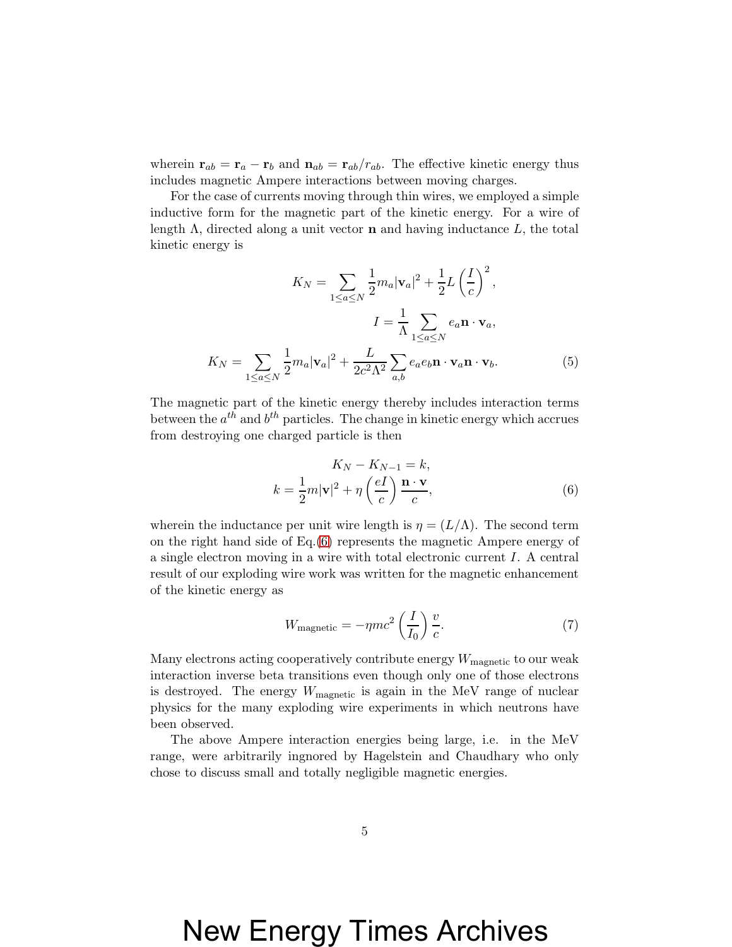wherein  $\mathbf{r}_{ab} = \mathbf{r}_a - \mathbf{r}_b$  and  $\mathbf{n}_{ab} = \mathbf{r}_{ab}/r_{ab}$ . The effective kinetic energy thus includes magnetic Ampere interactions between moving charges.

For the case of currents moving through thin wires, we employed a simple inductive form for the magnetic part of the kinetic energy. For a wire of length  $\Lambda$ , directed along a unit vector **n** and having inductance  $L$ , the total kinetic energy is

$$
K_N = \sum_{1 \le a \le N} \frac{1}{2} m_a |\mathbf{v}_a|^2 + \frac{1}{2} L \left(\frac{I}{c}\right)^2,
$$
  

$$
I = \frac{1}{\Lambda} \sum_{1 \le a \le N} e_a \mathbf{n} \cdot \mathbf{v}_a,
$$
  

$$
K_N = \sum_{1 \le a \le N} \frac{1}{2} m_a |\mathbf{v}_a|^2 + \frac{L}{2c^2 \Lambda^2} \sum_{a,b} e_a e_b \mathbf{n} \cdot \mathbf{v}_a \mathbf{n} \cdot \mathbf{v}_b.
$$
 (5)

The magnetic part of the kinetic energy thereby includes interaction terms between the  $a^{th}$  and  $b^{th}$  particles. The change in kinetic energy which accrues from destroying one charged particle is then

<span id="page-4-0"></span>
$$
K_N - K_{N-1} = k,
$$
  
\n
$$
k = \frac{1}{2}m|\mathbf{v}|^2 + \eta \left(\frac{eI}{c}\right)\frac{\mathbf{n} \cdot \mathbf{v}}{c},
$$
\n(6)

wherein the inductance per unit wire length is  $\eta = (L/\Lambda)$ . The second term on the right hand side of Eq.[\(6\)](#page-4-0) represents the magnetic Ampere energy of a single electron moving in a wire with total electronic current I. A central result of our exploding wire work was written for the magnetic enhancement of the kinetic energy as

$$
W_{\text{magnetic}} = -\eta m c^2 \left(\frac{I}{I_0}\right) \frac{v}{c}.\tag{7}
$$

Many electrons acting cooperatively contribute energy  $W_{\text{magnetic}}$  to our weak interaction inverse beta transitions even though only one of those electrons is destroyed. The energy  $W_{\text{magnetic}}$  is again in the MeV range of nuclear physics for the many exploding wire experiments in which neutrons have been observed.

The above Ampere interaction energies being large, i.e. in the MeV range, were arbitrarily ingnored by Hagelstein and Chaudhary who only chose to discuss small and totally negligible magnetic energies.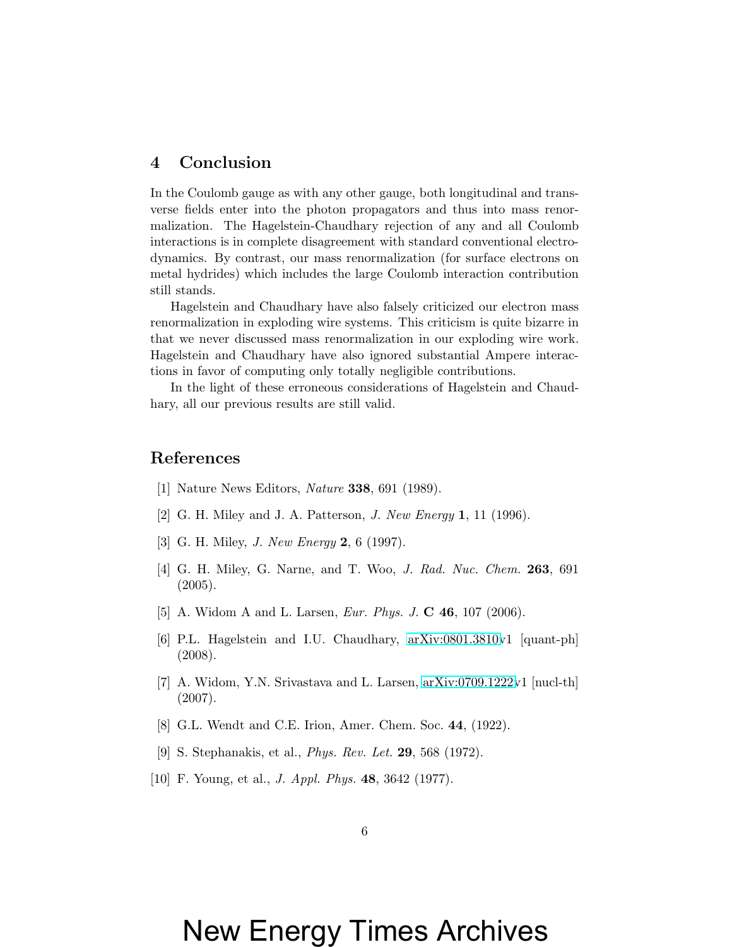#### 4 Conclusion

In the Coulomb gauge as with any other gauge, both longitudinal and transverse fields enter into the photon propagators and thus into mass renormalization. The Hagelstein-Chaudhary rejection of any and all Coulomb interactions is in complete disagreement with standard conventional electrodynamics. By contrast, our mass renormalization (for surface electrons on metal hydrides) which includes the large Coulomb interaction contribution still stands.

Hagelstein and Chaudhary have also falsely criticized our electron mass renormalization in exploding wire systems. This criticism is quite bizarre in that we never discussed mass renormalization in our exploding wire work. Hagelstein and Chaudhary have also ignored substantial Ampere interactions in favor of computing only totally negligible contributions.

In the light of these erroneous considerations of Hagelstein and Chaudhary, all our previous results are still valid.

#### <span id="page-5-0"></span>References

- <span id="page-5-1"></span>[1] Nature News Editors, Nature 338, 691 (1989).
- <span id="page-5-2"></span>[2] G. H. Miley and J. A. Patterson, J. New Energy 1, 11 (1996).
- <span id="page-5-3"></span>[3] G. H. Miley, *J. New Energy* **2**, 6 (1997).
- [4] G. H. Miley, G. Narne, and T. Woo, J. Rad. Nuc. Chem. 263, 691 (2005).
- <span id="page-5-5"></span><span id="page-5-4"></span>[5] A. Widom A and L. Larsen, *Eur. Phys. J.* **C 46**, 107 (2006).
- [6] P.L. Hagelstein and I.U. Chaudhary, [arXiv:0801.3810v](http://arXiv.org/abs/0801.3810)1 [quant-ph] (2008).
- <span id="page-5-6"></span>[7] A. Widom, Y.N. Srivastava and L. Larsen, [arXiv:0709.1222v](http://arXiv.org/abs/0709.1222)1 [nucl-th] (2007).
- <span id="page-5-8"></span><span id="page-5-7"></span>[8] G.L. Wendt and C.E. Irion, Amer. Chem. Soc. 44, (1922).
- <span id="page-5-9"></span>[9] S. Stephanakis, et al., Phys. Rev. Let. 29, 568 (1972).
- [10] F. Young, et al., J. Appl. Phys. 48, 3642 (1977).